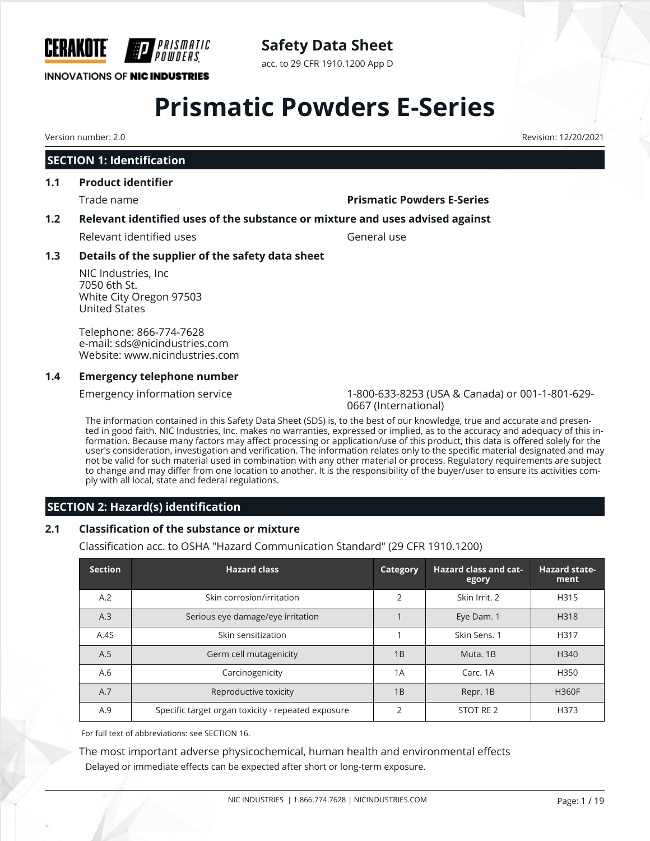

**Safety Data Sheet**

acc. to 29 CFR 1910.1200 App D

## **Prismatic Powders E-Series**

Version number: 2.0 Revision: 12/20/2021

#### **SECTION 1: Identification**

#### **1.1 Product identifier**

#### Trade name **Prismatic Powders E-Series**

#### **1.2 Relevant identified uses of the substance or mixture and uses advised against**

Relevant identified uses General use

#### **1.3 Details of the supplier of the safety data sheet**

NIC Industries, Inc 7050 6th St. White City Oregon 97503 United States

Telephone: 866-774-7628 e-mail: sds@nicindustries.com Website: www.nicindustries.com

#### **1.4 Emergency telephone number**

Emergency information service 1-800-633-8253 (USA & Canada) or 001-1-801-629- 0667 (International)

The information contained in this Safety Data Sheet (SDS) is, to the best of our knowledge, true and accurate and presented in good faith. NIC Industries, Inc. makes no warranties, expressed or implied, as to the accuracy and adequacy of this information. Because many factors may affect processing or application/use of this product, this data is offered solely for the user's consideration, investigation and verification. The information relates only to the specific material designated and may not be valid for such material used in combination with any other material or process. Regulatory requirements are subject to change and may differ from one location to another. It is the responsibility of the buyer/user to ensure its activities comply with all local, state and federal regulations.

#### **SECTION 2: Hazard(s) identification**

#### **2.1 Classification of the substance or mixture**

Classification acc. to OSHA "Hazard Communication Standard" (29 CFR 1910.1200)

| <b>Section</b> | <b>Hazard class</b>                                | Category       | <b>Hazard class and cat-</b><br>egory | <b>Hazard state-</b><br>ment |
|----------------|----------------------------------------------------|----------------|---------------------------------------|------------------------------|
| A.2            | Skin corrosion/irritation                          | $\overline{2}$ | Skin Irrit, 2                         | H315                         |
| A.3            | Serious eye damage/eye irritation                  |                | Eye Dam. 1                            | H318                         |
| A.4S           | Skin sensitization                                 |                | Skin Sens. 1                          | H317                         |
| A.5            | Germ cell mutagenicity                             | 1B             | Muta, 1B                              | H <sub>340</sub>             |
| A.6            | Carcinogenicity                                    | 1A             | Carc, 1A                              | H350                         |
| A.7            | Reproductive toxicity                              | 1B             | Repr. 1B                              | <b>H360F</b>                 |
| A.9            | Specific target organ toxicity - repeated exposure | $\mathfrak{D}$ | STOT RE 2                             | H373                         |

For full text of abbreviations: see SECTION 16.

The most important adverse physicochemical, human health and environmental effects Delayed or immediate effects can be expected after short or long-term exposure.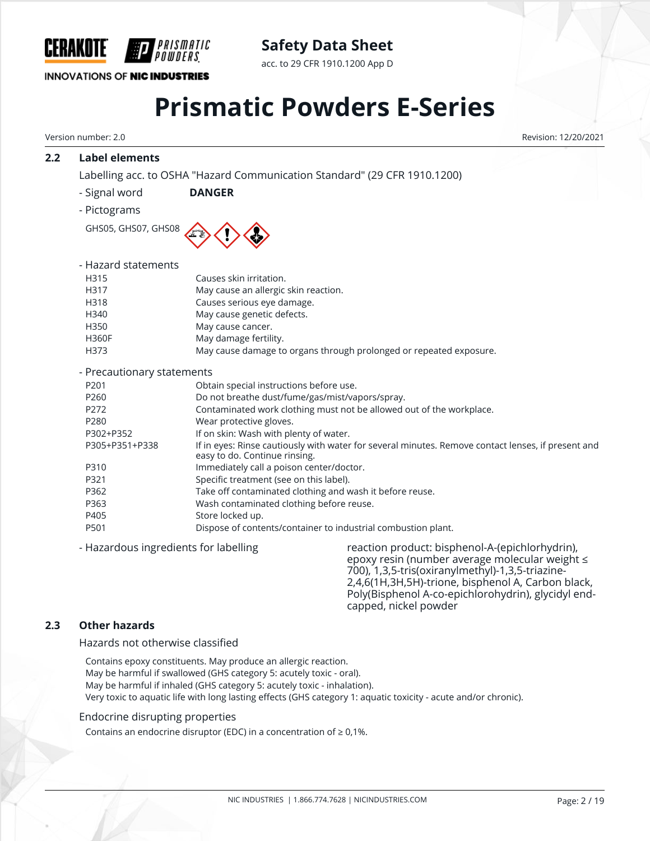

**Safety Data Sheet**

acc. to 29 CFR 1910.1200 App D

## **Prismatic Powders E-Series**

Version number: 2.0 Revision: 12/20/2021

#### **2.2 Label elements**

Labelling acc. to OSHA "Hazard Communication Standard" (29 CFR 1910.1200)

- Signal word **DANGER**
- Pictograms

GHS05, GHS07, GHS08



| - Hazard statements        |                                                                    |
|----------------------------|--------------------------------------------------------------------|
| H315                       | Causes skin irritation.                                            |
| H317                       | May cause an allergic skin reaction.                               |
| H318                       | Causes serious eye damage.                                         |
| H340                       | May cause genetic defects.                                         |
| H350                       | May cause cancer.                                                  |
| <b>H360F</b>               | May damage fertility.                                              |
| H373                       | May cause damage to organs through prolonged or repeated exposure. |
| - Precautionary statements |                                                                    |
|                            |                                                                    |

| Proceed crotically beatening its |                                                                                                                                     |
|----------------------------------|-------------------------------------------------------------------------------------------------------------------------------------|
| P <sub>201</sub>                 | Obtain special instructions before use.                                                                                             |
| P260                             | Do not breathe dust/fume/gas/mist/vapors/spray.                                                                                     |
| P <sub>272</sub>                 | Contaminated work clothing must not be allowed out of the workplace.                                                                |
| P280                             | Wear protective gloves.                                                                                                             |
| P302+P352                        | If on skin: Wash with plenty of water.                                                                                              |
| P305+P351+P338                   | If in eyes: Rinse cautiously with water for several minutes. Remove contact lenses, if present and<br>easy to do. Continue rinsing. |
| P310                             | Immediately call a poison center/doctor.                                                                                            |
| P321                             | Specific treatment (see on this label).                                                                                             |
| P362                             | Take off contaminated clothing and wash it before reuse.                                                                            |
| P363                             | Wash contaminated clothing before reuse.                                                                                            |
| P405                             | Store locked up.                                                                                                                    |
| P501                             | Dispose of contents/container to industrial combustion plant.                                                                       |
|                                  |                                                                                                                                     |

- Hazardous ingredients for labelling reaction product: bisphenol-A-(epichlorhydrin), epoxy resin (number average molecular weight ≤ 700), 1,3,5-tris(oxiranylmethyl)-1,3,5-triazine-2,4,6(1H,3H,5H)-trione, bisphenol A, Carbon black, Poly(Bisphenol A-co-epichlorohydrin), glycidyl endcapped, nickel powder

#### **2.3 Other hazards**

Hazards not otherwise classified

Contains epoxy constituents. May produce an allergic reaction. May be harmful if swallowed (GHS category 5: acutely toxic - oral). May be harmful if inhaled (GHS category 5: acutely toxic - inhalation). Very toxic to aquatic life with long lasting effects (GHS category 1: aquatic toxicity - acute and/or chronic).

#### Endocrine disrupting properties

Contains an endocrine disruptor (EDC) in a concentration of  $\geq 0.1\%$ .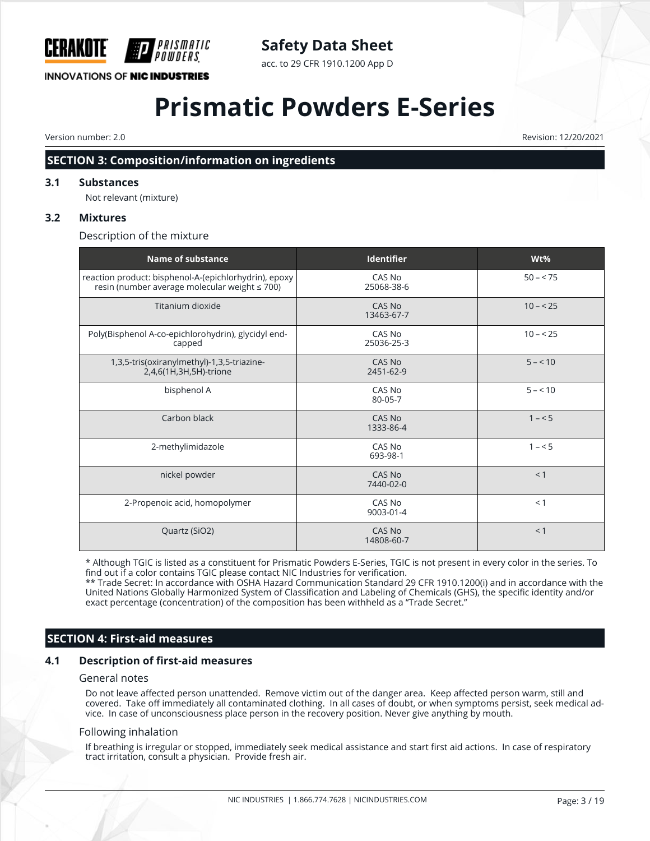

### **Safety Data Sheet**

acc. to 29 CFR 1910.1200 App D

## **Prismatic Powders E-Series**

Version number: 2.0 Revision: 12/20/2021

#### **SECTION 3: Composition/information on ingredients**

#### **3.1 Substances**

Not relevant (mixture)

#### **3.2 Mixtures**

Description of the mixture

| <b>Name of substance</b>                                                                               | <b>Identifier</b>           | Wt%       |
|--------------------------------------------------------------------------------------------------------|-----------------------------|-----------|
| reaction product: bisphenol-A-(epichlorhydrin), epoxy<br>resin (number average molecular weight ≤ 700) | CAS No<br>25068-38-6        | $50 - 75$ |
| Titanium dioxide                                                                                       | <b>CAS No</b><br>13463-67-7 | $10 - 25$ |
| Poly(Bisphenol A-co-epichlorohydrin), glycidyl end-<br>capped                                          | CAS No<br>25036-25-3        | $10 - 25$ |
| 1,3,5-tris(oxiranylmethyl)-1,3,5-triazine-<br>2,4,6(1H,3H,5H)-trione                                   | CAS No<br>2451-62-9         | $5 - 10$  |
| bisphenol A                                                                                            | CAS No<br>80-05-7           | $5 - 10$  |
| Carbon black                                                                                           | CAS No<br>1333-86-4         | $1 - 5$   |
| 2-methylimidazole                                                                                      | CAS No<br>693-98-1          | $1 - 5$   |
| nickel powder                                                                                          | CAS No<br>7440-02-0         | < 1       |
| 2-Propenoic acid, homopolymer                                                                          | CAS No<br>9003-01-4         | < 1       |
| Quartz (SiO2)                                                                                          | CAS No<br>14808-60-7        | < 1       |

\* Although TGIC is listed as a constituent for Prismatic Powders E-Series, TGIC is not present in every color in the series. To find out if a color contains TGIC please contact NIC Industries for verification.

\*\* Trade Secret: In accordance with OSHA Hazard Communication Standard 29 CFR 1910.1200(i) and in accordance with the United Nations Globally Harmonized System of Classification and Labeling of Chemicals (GHS), the specific identity and/or exact percentage (concentration) of the composition has been withheld as a "Trade Secret."

#### **SECTION 4: First-aid measures**

#### **4.1 Description of first-aid measures**

#### General notes

Do not leave affected person unattended. Remove victim out of the danger area. Keep affected person warm, still and covered. Take off immediately all contaminated clothing. In all cases of doubt, or when symptoms persist, seek medical advice. In case of unconsciousness place person in the recovery position. Never give anything by mouth.

#### Following inhalation

If breathing is irregular or stopped, immediately seek medical assistance and start first aid actions. In case of respiratory tract irritation, consult a physician. Provide fresh air.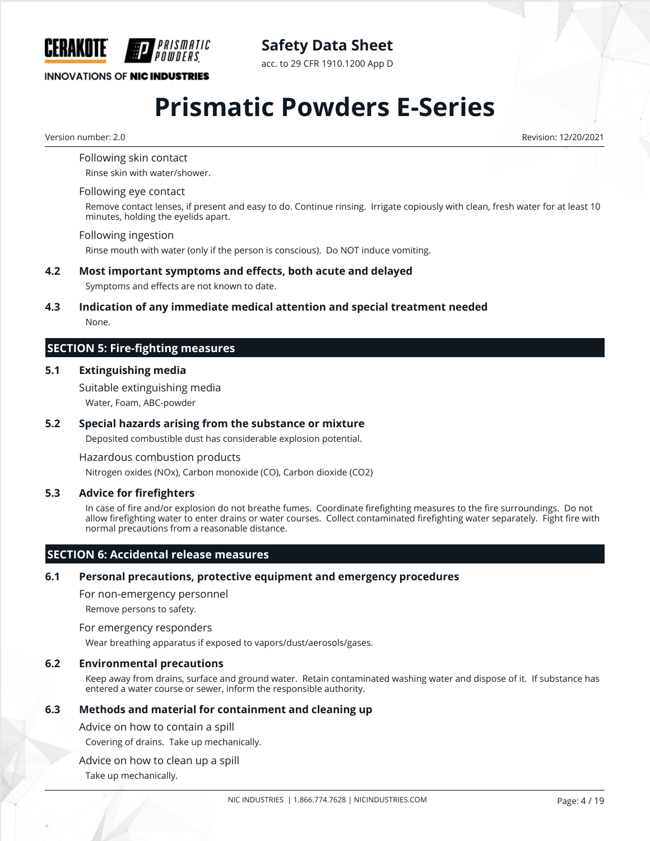

**Safety Data Sheet** acc. to 29 CFR 1910.1200 App D

## **Prismatic Powders E-Series**

Version number: 2.0 Revision: 12/20/2021

Following skin contact

Rinse skin with water/shower.

#### Following eye contact

Remove contact lenses, if present and easy to do. Continue rinsing. Irrigate copiously with clean, fresh water for at least 10 minutes, holding the eyelids apart.

#### Following ingestion

Rinse mouth with water (only if the person is conscious). Do NOT induce vomiting.

#### **4.2 Most important symptoms and effects, both acute and delayed**

Symptoms and effects are not known to date.

### **4.3 Indication of any immediate medical attention and special treatment needed**

None.

#### **SECTION 5: Fire-fighting measures**

#### **5.1 Extinguishing media**

Suitable extinguishing media Water, Foam, ABC-powder

#### **5.2 Special hazards arising from the substance or mixture**

Deposited combustible dust has considerable explosion potential.

Hazardous combustion products

Nitrogen oxides (NOx), Carbon monoxide (CO), Carbon dioxide (CO2)

#### **5.3 Advice for firefighters**

In case of fire and/or explosion do not breathe fumes. Coordinate firefighting measures to the fire surroundings. Do not allow firefighting water to enter drains or water courses. Collect contaminated firefighting water separately. Fight fire with normal precautions from a reasonable distance.

#### **SECTION 6: Accidental release measures**

#### **6.1 Personal precautions, protective equipment and emergency procedures**

For non-emergency personnel

Remove persons to safety.

For emergency responders

Wear breathing apparatus if exposed to vapors/dust/aerosols/gases.

#### **6.2 Environmental precautions**

Keep away from drains, surface and ground water. Retain contaminated washing water and dispose of it. If substance has entered a water course or sewer, inform the responsible authority.

#### **6.3 Methods and material for containment and cleaning up**

Advice on how to contain a spill

Covering of drains. Take up mechanically.

Advice on how to clean up a spill

Take up mechanically.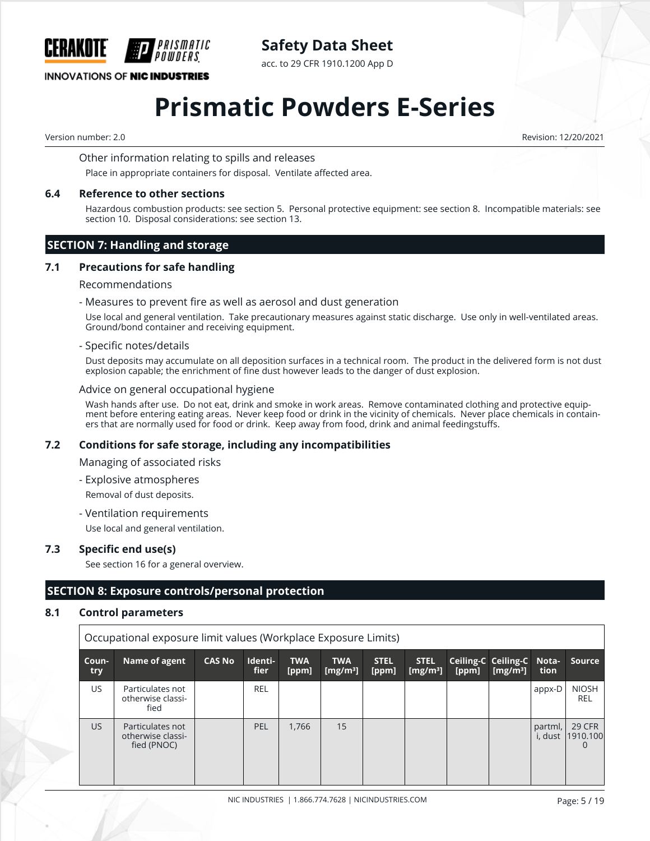

**INNOVATIONS OF NIC INDUSTRIES** 

acc. to 29 CFR 1910.1200 App D

## **Prismatic Powders E-Series**

Version number: 2.0 Revision: 12/20/2021

#### Other information relating to spills and releases

Place in appropriate containers for disposal. Ventilate affected area.

#### **6.4 Reference to other sections**

Hazardous combustion products: see section 5. Personal protective equipment: see section 8. Incompatible materials: see section 10. Disposal considerations: see section 13.

#### **SECTION 7: Handling and storage**

#### **7.1 Precautions for safe handling**

#### Recommendations

- Measures to prevent fire as well as aerosol and dust generation

Use local and general ventilation. Take precautionary measures against static discharge. Use only in well-ventilated areas. Ground/bond container and receiving equipment.

#### - Specific notes/details

Dust deposits may accumulate on all deposition surfaces in a technical room. The product in the delivered form is not dust explosion capable; the enrichment of fine dust however leads to the danger of dust explosion.

#### Advice on general occupational hygiene

Wash hands after use. Do not eat, drink and smoke in work areas. Remove contaminated clothing and protective equipment before entering eating areas. Never keep food or drink in the vicinity of chemicals. Never place chemicals in containers that are normally used for food or drink. Keep away from food, drink and animal feedingstuffs.

#### **7.2 Conditions for safe storage, including any incompatibilities**

Managing of associated risks

- Explosive atmospheres

Removal of dust deposits.

- Ventilation requirements

Use local and general ventilation.

#### **7.3 Specific end use(s)**

See section 16 for a general overview.

#### **SECTION 8: Exposure controls/personal protection**

#### **8.1 Control parameters**

| Occupational exposure limit values (Workplace Exposure Limits) |                                                      |               |                 |                     |                           |                      |                                     |       |                                                             |                    |                                |
|----------------------------------------------------------------|------------------------------------------------------|---------------|-----------------|---------------------|---------------------------|----------------------|-------------------------------------|-------|-------------------------------------------------------------|--------------------|--------------------------------|
| Coun-<br>try                                                   | Name of agent                                        | <b>CAS No</b> | Identi-<br>fier | <b>TWA</b><br>[ppm] | <b>TWA</b><br>[ $mg/m3$ ] | <b>STEL</b><br>[ppm] | <b>STEL</b><br>[mg/m <sup>3</sup> ] | [ppm] | Ceiling-C Ceiling-C Nota-<br>$\lfloor$ [mg/m <sup>3</sup> ] | tion               | Source                         |
| US.                                                            | Particulates not<br>otherwise classi-<br>fied        |               | <b>REL</b>      |                     |                           |                      |                                     |       |                                                             | appx-D             | <b>NIOSH</b><br><b>REL</b>     |
| US.                                                            | Particulates not<br>otherwise classi-<br>fied (PNOC) |               | PEL             | 1,766               | 15                        |                      |                                     |       |                                                             | partml,<br>i, dust | <b>29 CFR</b><br>1910.100<br>0 |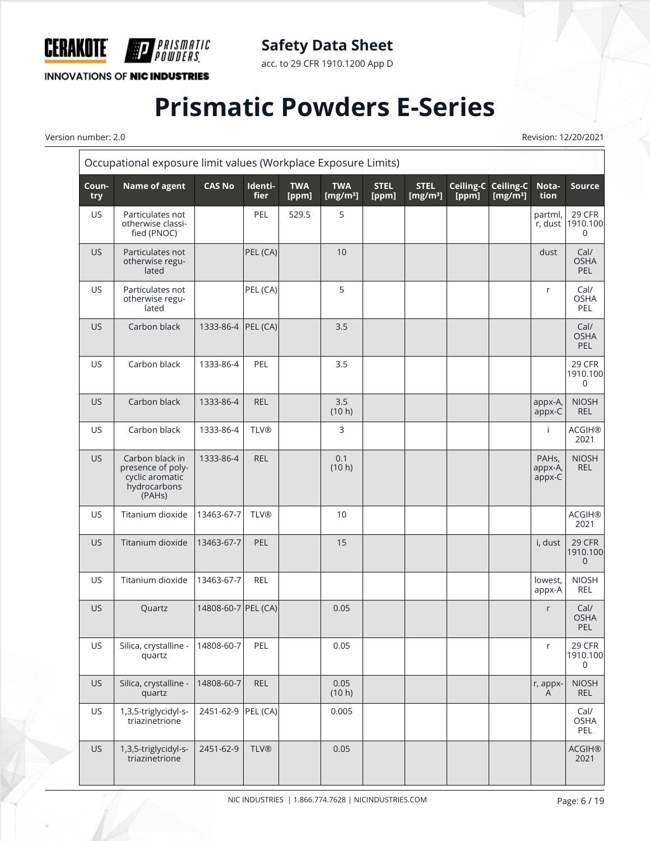

acc. to 29 CFR 1910.1200 App D

**INNOVATIONS OF NIC INDUSTRIES** 

F

*PRISMATIC<br>Powders*.

## **Prismatic Powders E-Series**

Version number: 2.0 Revision: 12/20/2021

|              | Occupational exposure limit values (Workplace Exposure Limits)                    |                     |                        |                     |                            |                      |                            |                    |                                 |                                         |                                   |
|--------------|-----------------------------------------------------------------------------------|---------------------|------------------------|---------------------|----------------------------|----------------------|----------------------------|--------------------|---------------------------------|-----------------------------------------|-----------------------------------|
| Coun-<br>try | <b>Name of agent</b>                                                              | <b>CAS No</b>       | Identi-<br><b>fier</b> | <b>TWA</b><br>[ppm] | <b>TWA</b><br>[ $mg/m^3$ ] | <b>STEL</b><br>[ppm] | <b>STEL</b><br>[ $mg/m3$ ] | Ceiling-C<br>[ppm] | <b>Ceiling-C</b><br>[ $mg/m3$ ] | Nota-<br>tion                           | <b>Source</b>                     |
| <b>US</b>    | Particulates not<br>otherwise classi-<br>fied (PNOC)                              |                     | PEL                    | 529.5               | 5                          |                      |                            |                    |                                 | partml,<br>r, dust                      | 29 CFR<br>1910.100<br>$\mathbf 0$ |
| <b>US</b>    | Particulates not<br>otherwise regu-<br>lated                                      |                     | PEL (CA)               |                     | 10                         |                      |                            |                    |                                 | dust                                    | Cal/<br><b>OSHA</b><br>PEL        |
| <b>US</b>    | Particulates not<br>otherwise regu-<br>lated                                      |                     | PEL (CA)               |                     | 5                          |                      |                            |                    |                                 | r                                       | Cal/<br><b>OSHA</b><br>PEL        |
| <b>US</b>    | Carbon black                                                                      | 1333-86-4 PEL (CA)  |                        |                     | 3.5                        |                      |                            |                    |                                 |                                         | Cal/<br><b>OSHA</b><br>PEL        |
| <b>US</b>    | Carbon black                                                                      | 1333-86-4           | PEL                    |                     | 3.5                        |                      |                            |                    |                                 |                                         | 29 CFR<br>1910.100<br>0           |
| <b>US</b>    | Carbon black                                                                      | 1333-86-4           | <b>REL</b>             |                     | 3.5<br>(10 h)              |                      |                            |                    |                                 | appx-A,<br>appx-C                       | <b>NIOSH</b><br><b>REL</b>        |
| <b>US</b>    | Carbon black                                                                      | 1333-86-4           | <b>TLV®</b>            |                     | 3                          |                      |                            |                    |                                 | Ť                                       | <b>ACGIH®</b><br>2021             |
| <b>US</b>    | Carbon black in<br>presence of poly-<br>cyclic aromatic<br>hydrocarbons<br>(PAHs) | 1333-86-4           | <b>REL</b>             |                     | 0.1<br>(10 h)              |                      |                            |                    |                                 | PAH <sub>s</sub> ,<br>appx-A,<br>appx-C | <b>NIOSH</b><br><b>REL</b>        |
| <b>US</b>    | Titanium dioxide                                                                  | 13463-67-7          | <b>TLV®</b>            |                     | 10                         |                      |                            |                    |                                 |                                         | <b>ACGIH®</b><br>2021             |
| <b>US</b>    | Titanium dioxide                                                                  | 13463-67-7          | PEL                    |                     | 15                         |                      |                            |                    |                                 | i, dust                                 | 29 CFR<br>1910.100<br>$\mathbf 0$ |
| <b>US</b>    | Titanium dioxide                                                                  | 13463-67-7          | <b>REL</b>             |                     |                            |                      |                            |                    |                                 | lowest,<br>appx-A                       | <b>NIOSH</b><br><b>REL</b>        |
| <b>US</b>    | Quartz                                                                            | 14808-60-7 PEL (CA) |                        |                     | 0.05                       |                      |                            |                    |                                 | r                                       | Cal/<br><b>OSHA</b><br><b>PEL</b> |
| US           | Silica, crystalline -<br>quartz                                                   | 14808-60-7          | PEL                    |                     | 0.05                       |                      |                            |                    |                                 | r                                       | <b>29 CFR</b><br>1910.100<br>0    |
| <b>US</b>    | Silica, crystalline -<br>quartz                                                   | 14808-60-7          | REL                    |                     | 0.05<br>(10 h)             |                      |                            |                    |                                 | r, appx-<br>A                           | <b>NIOSH</b><br><b>REL</b>        |
| <b>US</b>    | 1,3,5-triglycidyl-s-<br>triazinetrione                                            | 2451-62-9 PEL (CA)  |                        |                     | 0.005                      |                      |                            |                    |                                 |                                         | Cal/<br>OSHA<br>PEL               |
| <b>US</b>    | 1,3,5-triglycidyl-s-<br>triazinetrione                                            | 2451-62-9           | <b>TLV®</b>            |                     | 0.05                       |                      |                            |                    |                                 |                                         | <b>ACGIH®</b><br>2021             |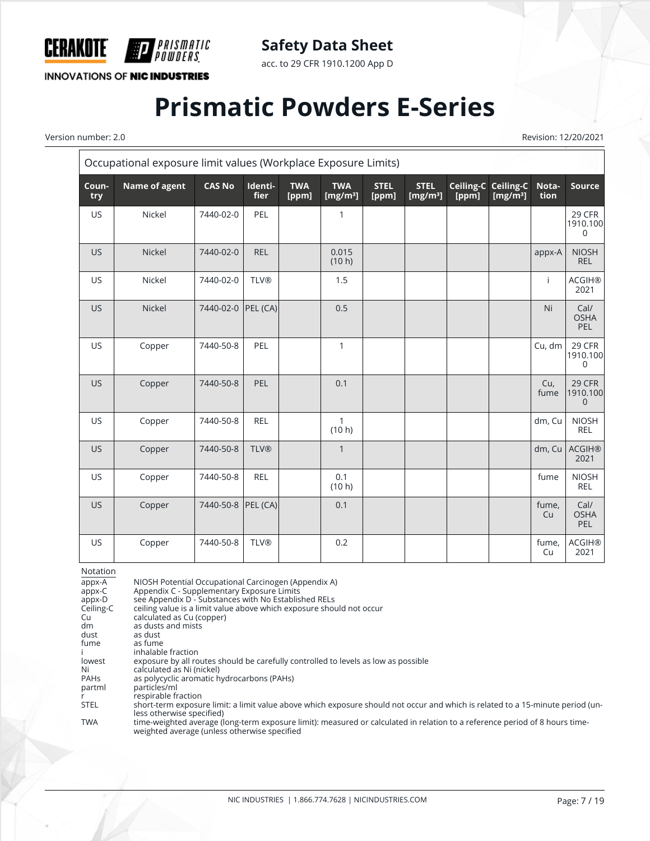

acc. to 29 CFR 1910.1200 App D

**INNOVATIONS OF NIC INDUSTRIES** 

*PRISMATIC<br>Powders* 

## **Prismatic Powders E-Series**

Version number: 2.0 Revision: 12/20/2021  $\overline{\mathsf{r}}$ 

| Occupational exposure limit values (Workplace Exposure Limits) |               |               |                 |                     |                            |                      |                             |                    |                           |               |                                   |
|----------------------------------------------------------------|---------------|---------------|-----------------|---------------------|----------------------------|----------------------|-----------------------------|--------------------|---------------------------|---------------|-----------------------------------|
| Coun-<br>try                                                   | Name of agent | <b>CAS No</b> | Identi-<br>fier | <b>TWA</b><br>[ppm] | <b>TWA</b><br>[ $mg/m^3$ ] | <b>STEL</b><br>[ppm] | <b>STEL</b><br>[ $mg/m^3$ ] | Ceiling-C<br>[ppm] | Ceiling-C<br>[ $mg/m^3$ ] | Nota-<br>tion | <b>Source</b>                     |
| US                                                             | Nickel        | 7440-02-0     | PEL             |                     | 1                          |                      |                             |                    |                           |               | 29 CFR<br>1910.100<br>$\mathbf 0$ |
| <b>US</b>                                                      | Nickel        | 7440-02-0     | <b>REL</b>      |                     | 0.015<br>(10 h)            |                      |                             |                    |                           | appx-A        | <b>NIOSH</b><br><b>REL</b>        |
| <b>US</b>                                                      | Nickel        | 7440-02-0     | <b>TLV®</b>     |                     | 1.5                        |                      |                             |                    |                           | j.            | <b>ACGIH®</b><br>2021             |
| US                                                             | Nickel        | 7440-02-0     | PEL (CA)        |                     | 0.5                        |                      |                             |                    |                           | Ni            | Cal/<br><b>OSHA</b><br>PEL        |
| US                                                             | Copper        | 7440-50-8     | PEL             |                     | $\mathbf{1}$               |                      |                             |                    |                           | Cu, dm        | 29 CFR<br>1910.100<br>0           |
| <b>US</b>                                                      | Copper        | 7440-50-8     | PEL             |                     | 0.1                        |                      |                             |                    |                           | Cu,<br>fume   | 29 CFR<br>1910.100<br>$\mathbf 0$ |
| US                                                             | Copper        | 7440-50-8     | <b>REL</b>      |                     | 1<br>(10 h)                |                      |                             |                    |                           | dm, Cu        | <b>NIOSH</b><br><b>REL</b>        |
| <b>US</b>                                                      | Copper        | 7440-50-8     | <b>TLV®</b>     |                     | $\mathbf{1}$               |                      |                             |                    |                           | dm, Cu        | <b>ACGIH®</b><br>2021             |
| <b>US</b>                                                      | Copper        | 7440-50-8     | <b>REL</b>      |                     | 0.1<br>(10 h)              |                      |                             |                    |                           | fume          | <b>NIOSH</b><br><b>REL</b>        |
| <b>US</b>                                                      | Copper        | 7440-50-8     | PEL (CA)        |                     | 0.1                        |                      |                             |                    |                           | fume,<br>Cu   | Cal/<br><b>OSHA</b><br>PEL        |
| US                                                             | Copper        | 7440-50-8     | <b>TLV®</b>     |                     | 0.2                        |                      |                             |                    |                           | fume,<br>Cu   | <b>ACGIH®</b><br>2021             |

Notation

appx-A NIOSH Potential Occupational Carcinogen (Appendix A)<br>appx-C Appendix C - Supplementary Exposure Limits appx-C Appendix C - Supplementary Exposure Limits appx-D see Appendix D - Substances with No Established RELs Ceiling-C ceiling value is a limit value above which exposure should not occur<br>Cu calculated as Cu (copper) Cu calculated as Cu (copper)<br>dm as dusts and mists dm as dusts and mists<br>dust as dust dust as dust<br>fume as fume as fume i inhalable fraction<br>lowest exposure by all ro lowest exposure by all routes should be carefully controlled to levels as low as possible<br>Ni calculated as Ni (nickel) Ni calculated as Ni (nickel)<br>PAHs as polycyclic aromatic h PAHs as polycyclic aromatic hydrocarbons (PAHs)<br>partml particles/ml particles/ml r respirable fraction<br>STEL short-term exposui short-term exposure limit: a limit value above which exposure should not occur and which is related to a 15-minute period (unless otherwise specified) TWA time-weighted average (long-term exposure limit): measured or calculated in relation to a reference period of 8 hours timeweighted average (unless otherwise specified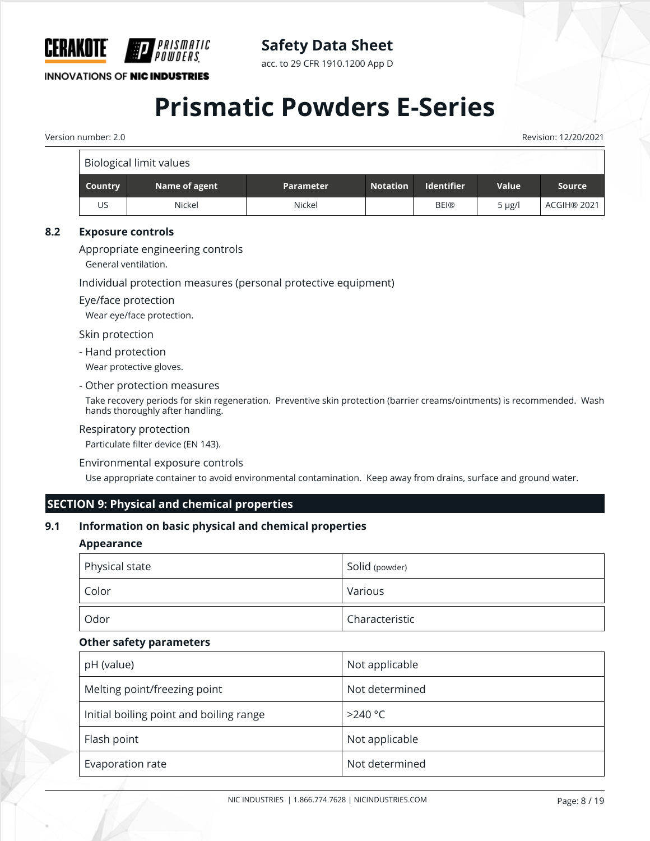

**INNOVATIONS OF NIC INDUSTRIES** 

acc. to 29 CFR 1910.1200 App D

## **Prismatic Powders E-Series**

Version number: 2.0 Revision: 12/20/2021

|         | Biological limit values |                  |                 |                   |             |               |
|---------|-------------------------|------------------|-----------------|-------------------|-------------|---------------|
| Country | Name of agent           | <b>Parameter</b> | <b>Notation</b> | <b>Identifier</b> | Value       | <b>Source</b> |
| US      | Nickel                  | Nickel           |                 | <b>BEI®</b>       | $5 \mu g/l$ | ACGIH® 2021   |

#### **8.2 Exposure controls**

Appropriate engineering controls

General ventilation.

Individual protection measures (personal protective equipment)

#### Eye/face protection

Wear eye/face protection.

Skin protection

- Hand protection

Wear protective gloves.

- Other protection measures

Take recovery periods for skin regeneration. Preventive skin protection (barrier creams/ointments) is recommended. Wash hands thoroughly after handling.

#### Respiratory protection

Particulate filter device (EN 143).

#### Environmental exposure controls

Use appropriate container to avoid environmental contamination. Keep away from drains, surface and ground water.

#### **SECTION 9: Physical and chemical properties**

#### **9.1 Information on basic physical and chemical properties**

#### **Appearance**

| Physical state | Solid (powder) |
|----------------|----------------|
| , Color        | Various        |
| Odor           | Characteristic |

#### **Other safety parameters**

| pH (value)                              | Not applicable |
|-----------------------------------------|----------------|
| Melting point/freezing point            | Not determined |
| Initial boiling point and boiling range | $>240$ °C      |
| Flash point                             | Not applicable |
| Evaporation rate                        | Not determined |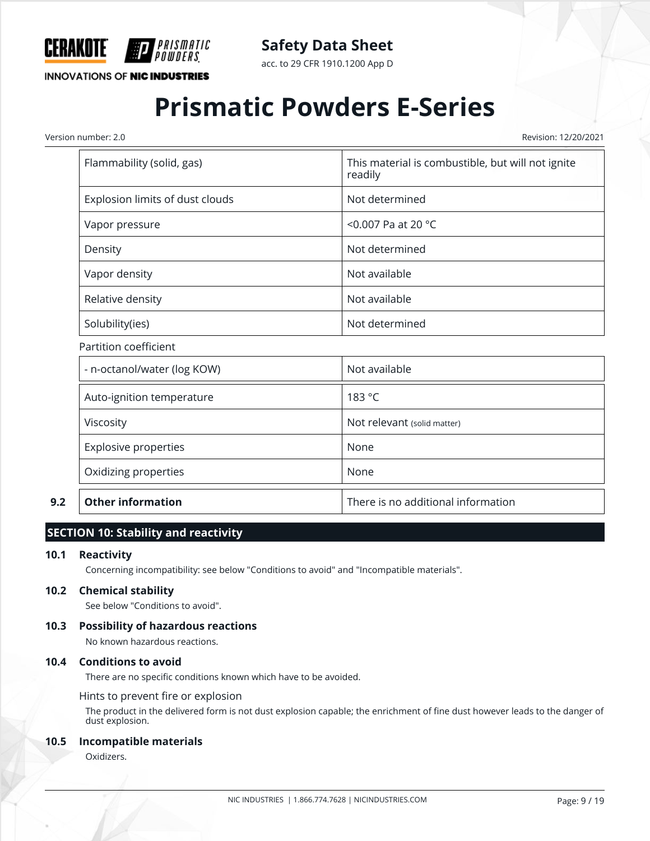

acc. to 29 CFR 1910.1200 App D

**INNOVATIONS OF NIC INDUSTRIES** 

## **Prismatic Powders E-Series**

Version number: 2.0 Revision: 12/20/2021

| Flammability (solid, gas)       | This material is combustible, but will not ignite<br>readily |  |  |  |
|---------------------------------|--------------------------------------------------------------|--|--|--|
| Explosion limits of dust clouds | Not determined                                               |  |  |  |
| Vapor pressure                  | <0.007 Pa at 20 $^{\circ}$ C                                 |  |  |  |
| Density                         | Not determined                                               |  |  |  |
| Vapor density                   | Not available                                                |  |  |  |
| Relative density                | Not available                                                |  |  |  |
| Solubility(ies)                 | Not determined                                               |  |  |  |
| Partition coefficient           |                                                              |  |  |  |
| - n-octanol/water (log KOW)     | Not available                                                |  |  |  |
|                                 |                                                              |  |  |  |

| 9.2 | <b>Other information</b>  | There is no additional information |
|-----|---------------------------|------------------------------------|
|     | Oxidizing properties      | None                               |
|     | Explosive properties      | None                               |
|     | Viscosity                 | Not relevant (solid matter)        |
|     | Auto-ignition temperature | 183 °C                             |
|     |                           |                                    |

#### **SECTION 10: Stability and reactivity**

#### **10.1 Reactivity**

Concerning incompatibility: see below "Conditions to avoid" and "Incompatible materials".

#### **10.2 Chemical stability**

See below "Conditions to avoid".

#### **10.3 Possibility of hazardous reactions**

No known hazardous reactions.

#### **10.4 Conditions to avoid**

There are no specific conditions known which have to be avoided.

Hints to prevent fire or explosion

The product in the delivered form is not dust explosion capable; the enrichment of fine dust however leads to the danger of dust explosion.

#### **10.5 Incompatible materials**

Oxidizers.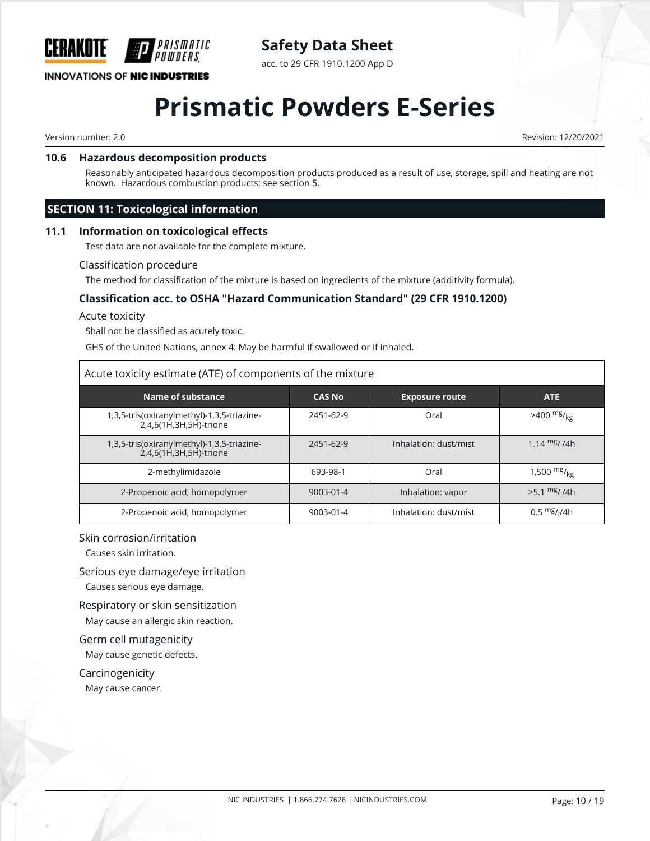

acc. to 29 CFR 1910.1200 App D

#### **INNOVATIONS OF NIC INDUSTRIES**

### **Prismatic Powders E-Series**

Version number: 2.0 Revision: 12/20/2021

#### **10.6 Hazardous decomposition products**

PRISMATIC

Reasonably anticipated hazardous decomposition products produced as a result of use, storage, spill and heating are not known. Hazardous combustion products: see section 5.

#### **SECTION 11: Toxicological information**

#### **11.1 Information on toxicological effects**

Test data are not available for the complete mixture.

#### Classification procedure

The method for classification of the mixture is based on ingredients of the mixture (additivity formula).

#### **Classification acc. to OSHA "Hazard Communication Standard" (29 CFR 1910.1200)**

Acute toxicity

Shall not be classified as acutely toxic.

GHS of the United Nations, annex 4: May be harmful if swallowed or if inhaled.

#### Acute toxicity estimate (ATE) of components of the mixture

| Name of substance                                                    | <b>CAS No</b>   | <b>Exposure route</b> | <b>ATE</b>                  |
|----------------------------------------------------------------------|-----------------|-----------------------|-----------------------------|
| 1,3,5-tris(oxiranylmethyl)-1,3,5-triazine-<br>2,4,6(1H,3H,5H)-trione | 2451-62-9       | Oral                  | $>400$ mg/ <sub>kg</sub>    |
| 1,3,5-tris(oxiranylmethyl)-1,3,5-triazine-<br>2,4,6(1H,3H,5H)-trione | 2451-62-9       | Inhalation: dust/mist | 1.14 $mg/1/4h$              |
| 2-methylimidazole                                                    | 693-98-1        | Oral                  | 1,500 $mg/_{kg}$            |
| 2-Propenoic acid, homopolymer                                        | $9003 - 01 - 4$ | Inhalation: vapor     | $>5.1$ mg/ <sub>I</sub> /4h |
| 2-Propenoic acid, homopolymer                                        | 9003-01-4       | Inhalation: dust/mist | $0.5 \frac{mg}{1/4h}$       |

#### Skin corrosion/irritation

Causes skin irritation.

Serious eye damage/eye irritation

Causes serious eye damage.

Respiratory or skin sensitization

May cause an allergic skin reaction.

Germ cell mutagenicity May cause genetic defects.

Carcinogenicity

May cause cancer.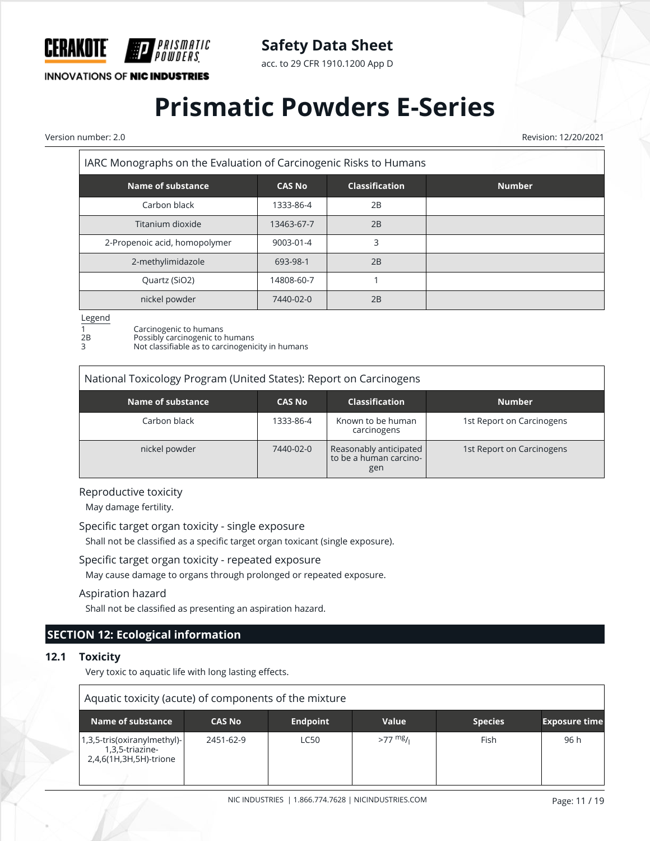

acc. to 29 CFR 1910.1200 App D

**INNOVATIONS OF NIC INDUSTRIES** 

## **Prismatic Powders E-Series**

Version number: 2.0 Revision: 12/20/2021  $\overline{\Gamma}$ 

| IARC Monographs on the Evaluation of Carcinogenic Risks to Humans |               |                       |               |
|-------------------------------------------------------------------|---------------|-----------------------|---------------|
| Name of substance                                                 | <b>CAS No</b> | <b>Classification</b> | <b>Number</b> |
| Carbon black                                                      | 1333-86-4     | 2B                    |               |
| Titanium dioxide                                                  | 13463-67-7    | 2B                    |               |
| 2-Propenoic acid, homopolymer                                     | 9003-01-4     | 3                     |               |
| 2-methylimidazole                                                 | 693-98-1      | 2B                    |               |
| Quartz (SiO2)                                                     | 14808-60-7    |                       |               |
| nickel powder                                                     | 7440-02-0     | 2B                    |               |

#### Legend

1 Carcinogenic to humans<br>
2B Possibly carcinogenic to l<br>
3 Not classifiable as to care Possibly carcinogenic to humans Not classifiable as to carcinogenicity in humans

| National Toxicology Program (United States): Report on Carcinogens |               |                                                         |                           |  |  |
|--------------------------------------------------------------------|---------------|---------------------------------------------------------|---------------------------|--|--|
| Name of substance                                                  | <b>CAS No</b> | <b>Classification</b>                                   | <b>Number</b>             |  |  |
| Carbon black                                                       | 1333-86-4     | Known to be human<br>carcinogens                        | 1st Report on Carcinogens |  |  |
| nickel powder                                                      | 7440-02-0     | Reasonably anticipated<br>to be a human carcino-<br>gen | 1st Report on Carcinogens |  |  |

#### Reproductive toxicity

May damage fertility.

Specific target organ toxicity - single exposure

Shall not be classified as a specific target organ toxicant (single exposure).

#### Specific target organ toxicity - repeated exposure

May cause damage to organs through prolonged or repeated exposure.

#### Aspiration hazard

Shall not be classified as presenting an aspiration hazard.

### **SECTION 12: Ecological information**

#### **12.1 Toxicity**

Very toxic to aquatic life with long lasting effects.

| Aquatic toxicity (acute) of components of the mixture                    |               |                 |           |                |                      |
|--------------------------------------------------------------------------|---------------|-----------------|-----------|----------------|----------------------|
| Name of substance                                                        | <b>CAS No</b> | <b>Endpoint</b> | Value     | <b>Species</b> | <b>Exposure time</b> |
| 1,3,5-tris(oxiranylmethyl)-<br>1,3,5-triazine-<br>2,4,6(1H,3H,5H)-trione | 2451-62-9     | <b>LC50</b>     | $>77$ mg/ | Fish           | 96 h                 |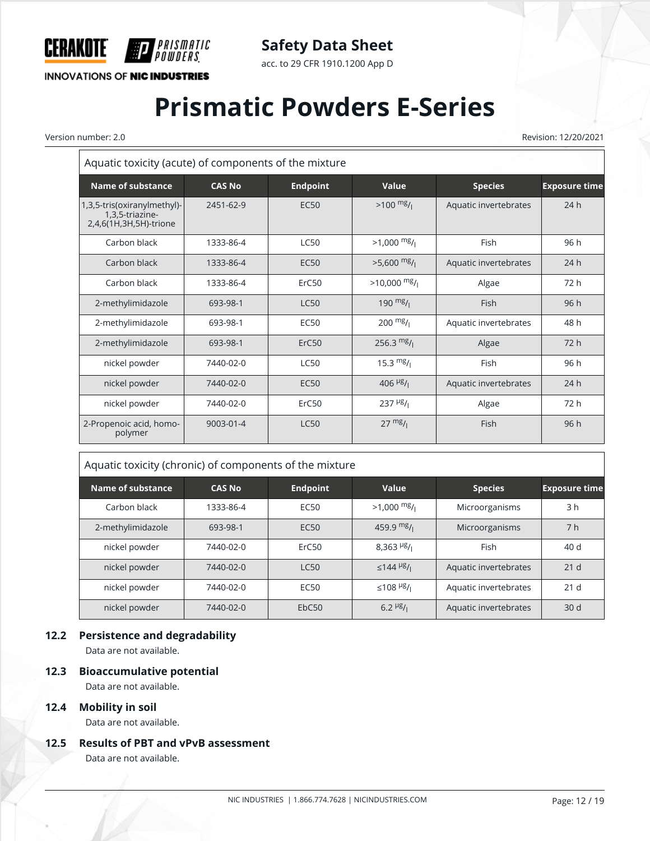

acc. to 29 CFR 1910.1200 App D

**INNOVATIONS OF NIC INDUSTRIES** 

*PRISMATIC<br>Powders* 

# **Prismatic Powders E-Series**

Version number: 2.0 Revision: 12/20/2021

| Aquatic toxicity (acute) of components of the mixture                    |               |                 |                                    |                       |                      |
|--------------------------------------------------------------------------|---------------|-----------------|------------------------------------|-----------------------|----------------------|
| <b>Name of substance</b>                                                 | <b>CAS No</b> | <b>Endpoint</b> | Value                              | <b>Species</b>        | <b>Exposure time</b> |
| 1,3,5-tris(oxiranylmethyl)-<br>1,3,5-triazine-<br>2,4,6(1H,3H,5H)-trione | 2451-62-9     | <b>EC50</b>     | $>100$ mg/                         | Aquatic invertebrates | 24h                  |
| Carbon black                                                             | 1333-86-4     | <b>LC50</b>     | $>1,000$ mg/                       | Fish                  | 96 h                 |
| Carbon black                                                             | 1333-86-4     | <b>EC50</b>     | $>5,600$ mg/                       | Aquatic invertebrates | 24h                  |
| Carbon black                                                             | 1333-86-4     | ErC50           | $>10,000$ mg/                      | Algae                 | 72 h                 |
| 2-methylimidazole                                                        | 693-98-1      | <b>LC50</b>     | 190 $mg/1$                         | Fish                  | 96h                  |
| 2-methylimidazole                                                        | 693-98-1      | <b>EC50</b>     | $200 \frac{mg}{l}$                 | Aquatic invertebrates | 48 h                 |
| 2-methylimidazole                                                        | 693-98-1      | ErC50           | 256.3 $mg/$                        | Algae                 | 72 h                 |
| nickel powder                                                            | 7440-02-0     | <b>LC50</b>     | 15.3 $mg/1$                        | Fish                  | 96 h                 |
| nickel powder                                                            | 7440-02-0     | <b>EC50</b>     | 406 $\frac{\mu g}{\mu}$            | Aquatic invertebrates | 24h                  |
| nickel powder                                                            | 7440-02-0     | ErC50           | $237$ <sup>µg</sup> / <sub>1</sub> | Algae                 | 72 h                 |
| 2-Propenoic acid, homo-<br>polymer                                       | 9003-01-4     | <b>LC50</b>     | $27 \frac{mg}{l}$                  | Fish                  | 96 h                 |

#### Aquatic toxicity (chronic) of components of the mixture

| Name of substance | <b>CAS No</b> | <b>Endpoint</b>  | Value                                | <b>Species</b>        | <b>Exposure time</b> |
|-------------------|---------------|------------------|--------------------------------------|-----------------------|----------------------|
| Carbon black      | 1333-86-4     | EC <sub>50</sub> | $>1,000$ mg/                         | Microorganisms        | 3 h                  |
| 2-methylimidazole | 693-98-1      | EC <sub>50</sub> | 459.9 $mg/1$                         | Microorganisms        | 7 <sub>h</sub>       |
| nickel powder     | 7440-02-0     | ErC50            | $8,363$ <sup>µg</sup> / <sub>1</sub> | Fish                  | 40 d                 |
| nickel powder     | 7440-02-0     | LC50             | ≤144 <sup>µg</sup> / <sub>1</sub>    | Aquatic invertebrates | 21 <sub>d</sub>      |
| nickel powder     | 7440-02-0     | EC <sub>50</sub> | $≤108$ <sup>µg</sup> / <sub>i</sub>  | Aquatic invertebrates | 21 <sub>d</sub>      |
| nickel powder     | 7440-02-0     | EbC50            | $6.2$ $\frac{\mu g}{I}$              | Aquatic invertebrates | 30 <sub>d</sub>      |

#### **12.2 Persistence and degradability**

Data are not available.

#### **12.3 Bioaccumulative potential**

Data are not available.

#### **12.4 Mobility in soil**

Data are not available.

#### **12.5 Results of PBT and vPvB assessment**

Data are not available.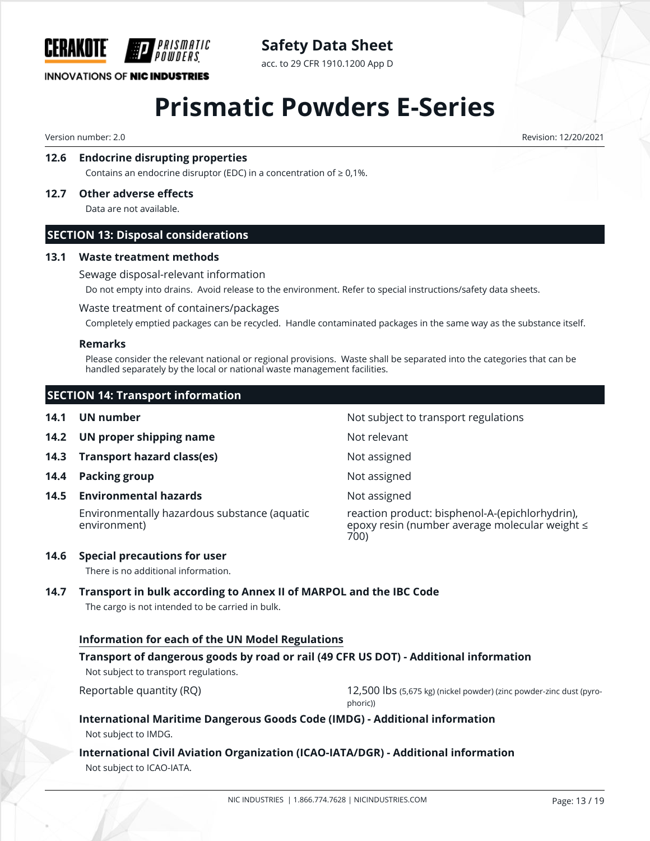

**Safety Data Sheet**

acc. to 29 CFR 1910.1200 App D

## **Prismatic Powders E-Series**

Version number: 2.0 Revision: 12/20/2021

#### **12.6 Endocrine disrupting properties**

Contains an endocrine disruptor (EDC) in a concentration of  $\geq 0.1$ %.

#### **12.7 Other adverse effects**

Data are not available.

#### **SECTION 13: Disposal considerations**

#### **13.1 Waste treatment methods**

Sewage disposal-relevant information

Do not empty into drains. Avoid release to the environment. Refer to special instructions/safety data sheets.

#### Waste treatment of containers/packages

Completely emptied packages can be recycled. Handle contaminated packages in the same way as the substance itself.

#### **Remarks**

Please consider the relevant national or regional provisions. Waste shall be separated into the categories that can be handled separately by the local or national waste management facilities.

|      | <b>SECTION 14: Transport information</b>                     |                                                                                                           |
|------|--------------------------------------------------------------|-----------------------------------------------------------------------------------------------------------|
| 14.1 | UN number                                                    | Not subject to transport regulations                                                                      |
| 14.2 | UN proper shipping name                                      | Not relevant                                                                                              |
| 14.3 | <b>Transport hazard class(es)</b>                            | Not assigned                                                                                              |
| 14.4 | <b>Packing group</b>                                         | Not assigned                                                                                              |
| 14.5 | <b>Environmental hazards</b>                                 | Not assigned                                                                                              |
|      | Environmentally hazardous substance (aquatic<br>environment) | reaction product: bisphenol-A-(epichlorhydrin),<br>epoxy resin (number average molecular weight ≤<br>700) |
| 14.6 | <b>Special precautions for user</b>                          |                                                                                                           |

There is no additional information.

#### **14.7 Transport in bulk according to Annex II of MARPOL and the IBC Code**

The cargo is not intended to be carried in bulk.

#### **Information for each of the UN Model Regulations**

#### **Transport of dangerous goods by road or rail (49 CFR US DOT) - Additional information**

Not subject to transport regulations.

Reportable quantity (RQ) extends the matrix of 12,500 lbs (5,675 kg) (nickel powder) (zinc powder-zinc dust (pyrophoric))

#### **International Maritime Dangerous Goods Code (IMDG) - Additional information** Not subject to IMDG.

#### **International Civil Aviation Organization (ICAO-IATA/DGR) - Additional information** Not subject to ICAO-IATA.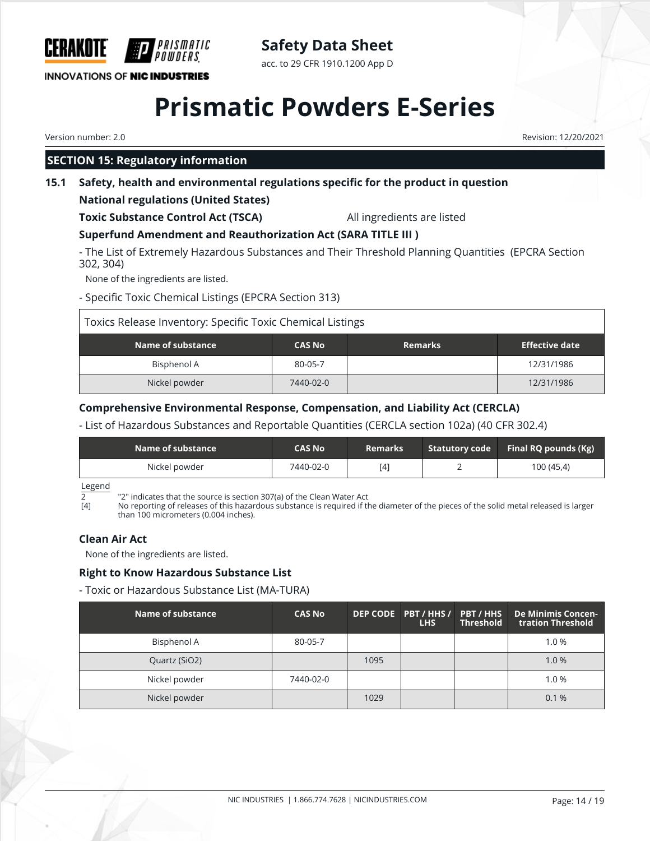

**Safety Data Sheet**

acc. to 29 CFR 1910.1200 App D

## **Prismatic Powders E-Series**

Version number: 2.0 Revision: 12/20/2021

### **SECTION 15: Regulatory information**

#### **15.1 Safety, health and environmental regulations specific for the product in question**

#### **National regulations (United States)**

**Toxic Substance Control Act (TSCA)** All ingredients are listed

#### **Superfund Amendment and Reauthorization Act (SARA TITLE III )**

- The List of Extremely Hazardous Substances and Their Threshold Planning Quantities (EPCRA Section 302, 304)

None of the ingredients are listed.

- Specific Toxic Chemical Listings (EPCRA Section 313)

Toxics Release Inventory: Specific Toxic Chemical Listings **Name of substance**  $\begin{array}{ccc}\n\text{CAS No} \\
\text{Remarks}\n\end{array}$  **Remarks** Bisphenol A | 80-05-7 | | 12/31/1986 Nickel powder **12/31/1986** 12/31/1986

#### **Comprehensive Environmental Response, Compensation, and Liability Act (CERCLA)**

#### - List of Hazardous Substances and Reportable Quantities (CERCLA section 102a) (40 CFR 302.4)

| Name of substance | <b>CAS No</b> | <b>Remarks</b> | Statutory code Final RQ pounds (Kg) |
|-------------------|---------------|----------------|-------------------------------------|
| Nickel powder     | 7440-02-0     | [4]            | 100 (45,4)                          |

Legend

 $\overline{2}$   $\overline{2}$  "2" indicates that the source is section 307(a) of the Clean Water Act [4] No reporting of releases of this hazardous substance is required if the

No reporting of releases of this hazardous substance is required if the diameter of the pieces of the solid metal released is larger than 100 micrometers (0.004 inches).

#### **Clean Air Act**

None of the ingredients are listed.

#### **Right to Know Hazardous Substance List**

- Toxic or Hazardous Substance List (MA-TURA)

| Name of substance | <b>CAS No</b> |      | DEP CODE PBT / HHS /<br><b>LHS</b> | <b>PBT/HHS</b><br><b>Threshold</b> | De Minimis Concen-<br>tration Threshold |
|-------------------|---------------|------|------------------------------------|------------------------------------|-----------------------------------------|
| Bisphenol A       | 80-05-7       |      |                                    |                                    | 1.0%                                    |
| Quartz (SiO2)     |               | 1095 |                                    |                                    | 1.0%                                    |
| Nickel powder     | 7440-02-0     |      |                                    |                                    | 1.0%                                    |
| Nickel powder     |               | 1029 |                                    |                                    | 0.1%                                    |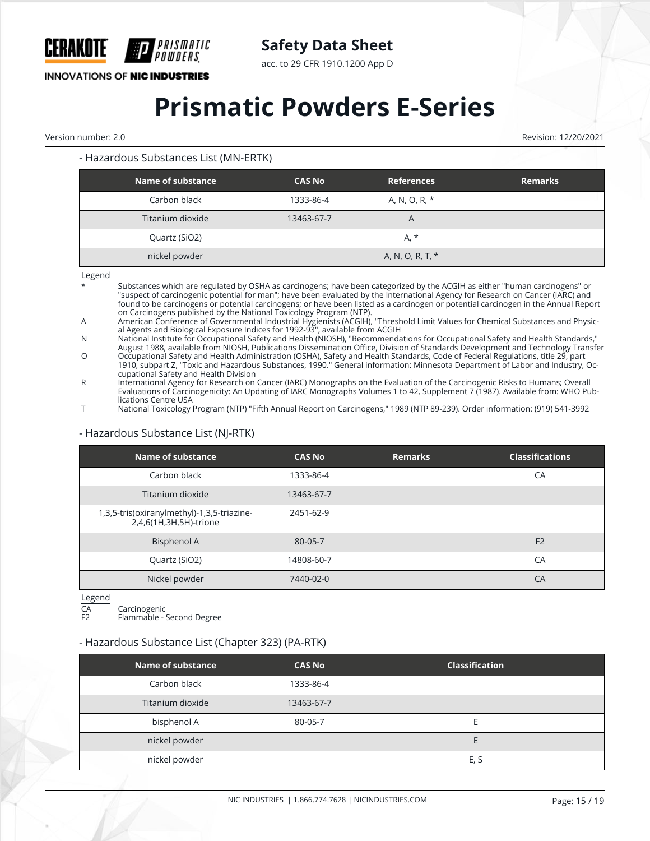

acc. to 29 CFR 1910.1200 App D

**INNOVATIONS OF NIC INDUSTRIES** 

## **Prismatic Powders E-Series**

Version number: 2.0 Revision: 12/20/2021

#### - Hazardous Substances List (MN-ERTK)

| Name of substance | <b>CAS No</b> | <b>References</b> | <b>Remarks</b> |
|-------------------|---------------|-------------------|----------------|
| Carbon black      | 1333-86-4     | A, N, O, R, *     |                |
| Titanium dioxide  | 13463-67-7    | $\bigwedge$       |                |
| Quartz (SiO2)     |               | $A, *$            |                |
| nickel powder     |               | A, N, O, R, T, *  |                |

Legend

\* Substances which are regulated by OSHA as carcinogens; have been categorized by the ACGIH as either "human carcinogens" or "suspect of carcinogenic potential for man"; have been evaluated by the International Agency for Research on Cancer (IARC) and found to be carcinogens or potential carcinogens; or have been listed as a carcinogen or potential carcinogen in the Annual Report on Carcinogens published by the National Toxicology Program (NTP).

A American Conference of Governmental Industrial Hygienists (ACGIH), "Threshold Limit Values for Chemical Substances and Physical Agents and Biological Exposure Indices for 1992-93", available from ACGIH

N National Institute for Occupational Safety and Health (NIOSH), "Recommendations for Occupational Safety and Health Standards," August 1988, available from NIOSH, Publications Dissemination Office, Division of Standards Development and Technology Transfer

O Occupational Safety and Health Administration (OSHA), Safety and Health Standards, Code of Federal Regulations, title 29, part 1910, subpart Z, "Toxic and Hazardous Substances, 1990." General information: Minnesota Department of Labor and Industry, Occupational Safety and Health Division

R International Agency for Research on Cancer (IARC) Monographs on the Evaluation of the Carcinogenic Risks to Humans; Overall Evaluations of Carcinogenicity: An Updating of IARC Monographs Volumes 1 to 42, Supplement 7 (1987). Available from: WHO Publications Centre USA

T National Toxicology Program (NTP) "Fifth Annual Report on Carcinogens," 1989 (NTP 89-239). Order information: (919) 541-3992

| <b>Name of substance</b>                                             | <b>CAS No</b> | <b>Remarks</b> | <b>Classifications</b> |
|----------------------------------------------------------------------|---------------|----------------|------------------------|
| Carbon black                                                         | 1333-86-4     |                | CA                     |
| Titanium dioxide                                                     | 13463-67-7    |                |                        |
| 1,3,5-tris(oxiranylmethyl)-1,3,5-triazine-<br>2,4,6(1H,3H,5H)-trione | 2451-62-9     |                |                        |
| <b>Bisphenol A</b>                                                   | 80-05-7       |                | F <sub>2</sub>         |
| Quartz (SiO2)                                                        | 14808-60-7    |                | CA                     |
| Nickel powder                                                        | 7440-02-0     |                | CA                     |

#### - Hazardous Substance List (NJ-RTK)

Legend

CA Carcinogenic<br>F2 Flammable - ' Flammable - Second Degree

- Hazardous Substance List (Chapter 323) (PA-RTK)

### **Name of substance CAS No Classification** Carbon black 1333-86-4 Titanium dioxide 13463-67-7 bisphenol A and the second B 80-05-7 and the second and the second E nickel powder **Example 2018** nickel powder and the set of the set of the set of the set of the set of the set of the set of the set of the s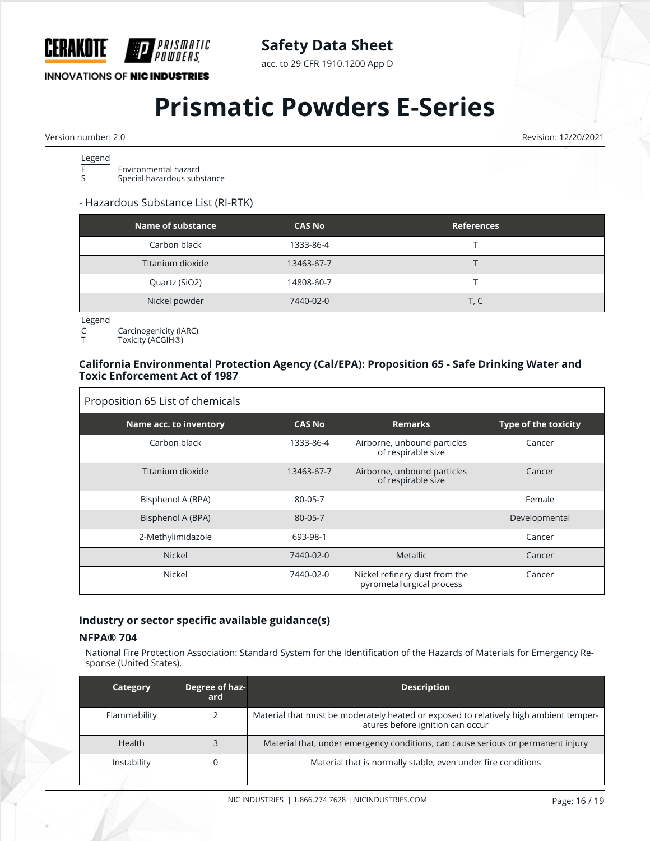

acc. to 29 CFR 1910.1200 App D

**INNOVATIONS OF NIC INDUSTRIES** 

# **Prismatic Powders E-Series**

Version number: 2.0 Revision: 12/20/2021

Legend<br>E  $\overline{E}$  Environmental hazard<br>Senecial hazardous sub Special hazardous substance

#### - Hazardous Substance List (RI-RTK)

| Name of substance | <b>CAS No</b> | <b>References</b> |
|-------------------|---------------|-------------------|
| Carbon black      | 1333-86-4     |                   |
| Titanium dioxide  | 13463-67-7    |                   |
| Quartz (SiO2)     | 14808-60-7    |                   |
| Nickel powder     | 7440-02-0     | T, C              |

Legend

C Carcinogenicity (IARC)

Toxicity (ACGIH®)

#### **California Environmental Protection Agency (Cal/EPA): Proposition 65 - Safe Drinking Water and Toxic Enforcement Act of 1987**

| Proposition 65 List of chemicals |               |                                                            |                             |
|----------------------------------|---------------|------------------------------------------------------------|-----------------------------|
| Name acc. to inventory           | <b>CAS No</b> | <b>Remarks</b>                                             | <b>Type of the toxicity</b> |
| Carbon black                     | 1333-86-4     | Airborne, unbound particles<br>of respirable size          | Cancer                      |
| Titanium dioxide                 | 13463-67-7    | Airborne, unbound particles<br>of respirable size          | Cancer                      |
| Bisphenol A (BPA)                | 80-05-7       |                                                            | Female                      |
| Bisphenol A (BPA)                | $80 - 05 - 7$ |                                                            | Developmental               |
| 2-Methylimidazole                | 693-98-1      |                                                            | Cancer                      |
| <b>Nickel</b>                    | 7440-02-0     | <b>Metallic</b>                                            | Cancer                      |
| Nickel                           | 7440-02-0     | Nickel refinery dust from the<br>pyrometallurgical process | Cancer                      |

#### **Industry or sector specific available guidance(s)**

#### **NFPA® 704**

National Fire Protection Association: Standard System for the Identification of the Hazards of Materials for Emergency Response (United States).

| Category      | Degree of haz-<br>ard | <b>Description</b>                                                                                                        |
|---------------|-----------------------|---------------------------------------------------------------------------------------------------------------------------|
| Flammability  |                       | Material that must be moderately heated or exposed to relatively high ambient temper-<br>atures before ignition can occur |
| <b>Health</b> |                       | Material that, under emergency conditions, can cause serious or permanent injury                                          |
| Instability   |                       | Material that is normally stable, even under fire conditions                                                              |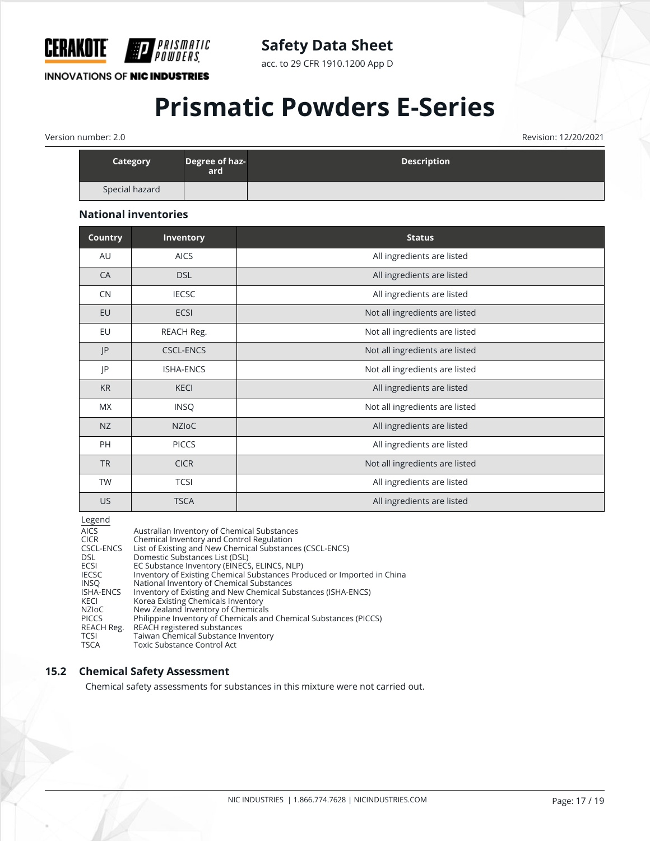

acc. to 29 CFR 1910.1200 App D

#### **INNOVATIONS OF NIC INDUSTRIES**

*PRISMATIC<br>Powders* 

## **Prismatic Powders E-Series**

Version number: 2.0 Revision: 12/20/2021

| <b>Category</b> | Degree of haz-<br>ard | <b>Description</b> |
|-----------------|-----------------------|--------------------|
| Special hazard  |                       |                    |

#### **National inventories**

| <b>Country</b> | Inventory        | <b>Status</b>                  |
|----------------|------------------|--------------------------------|
| AU             | <b>AICS</b>      | All ingredients are listed     |
| CA             | <b>DSL</b>       | All ingredients are listed     |
| CN             | <b>IECSC</b>     | All ingredients are listed     |
| EU             | ECSI             | Not all ingredients are listed |
| EU             | REACH Reg.       | Not all ingredients are listed |
| P              | <b>CSCL-ENCS</b> | Not all ingredients are listed |
| JP             | <b>ISHA-ENCS</b> | Not all ingredients are listed |
| <b>KR</b>      | <b>KECI</b>      | All ingredients are listed     |
| <b>MX</b>      | <b>INSQ</b>      | Not all ingredients are listed |
| NZ             | <b>NZIOC</b>     | All ingredients are listed     |
| PH             | <b>PICCS</b>     | All ingredients are listed     |
| <b>TR</b>      | <b>CICR</b>      | Not all ingredients are listed |
| <b>TW</b>      | <b>TCSI</b>      | All ingredients are listed     |
| <b>US</b>      | <b>TSCA</b>      | All ingredients are listed     |

Legend

| Australian Inventory of Chemical Substances                             |
|-------------------------------------------------------------------------|
| Chemical Inventory and Control Regulation                               |
| List of Existing and New Chemical Substances (CSCL-ENCS)                |
| Domestic Substances List (DSL)                                          |
| EC Substance Inventory (EINECS, ELINCS, NLP)                            |
| Inventory of Existing Chemical Substances Produced or Imported in China |
| National Inventory of Chemical Substances                               |
| Inventory of Existing and New Chemical Substances (ISHA-ENCS)           |
| Korea Existing Chemicals Inventory                                      |
| New Zealand Inventory of Chemicals                                      |
| Philippine Inventory of Chemicals and Chemical Substances (PICCS)       |
| REACH registered substances                                             |
| Taiwan Chemical Substance Inventory                                     |
| Toxic Substance Control Act                                             |
|                                                                         |

#### **15.2 Chemical Safety Assessment**

Chemical safety assessments for substances in this mixture were not carried out.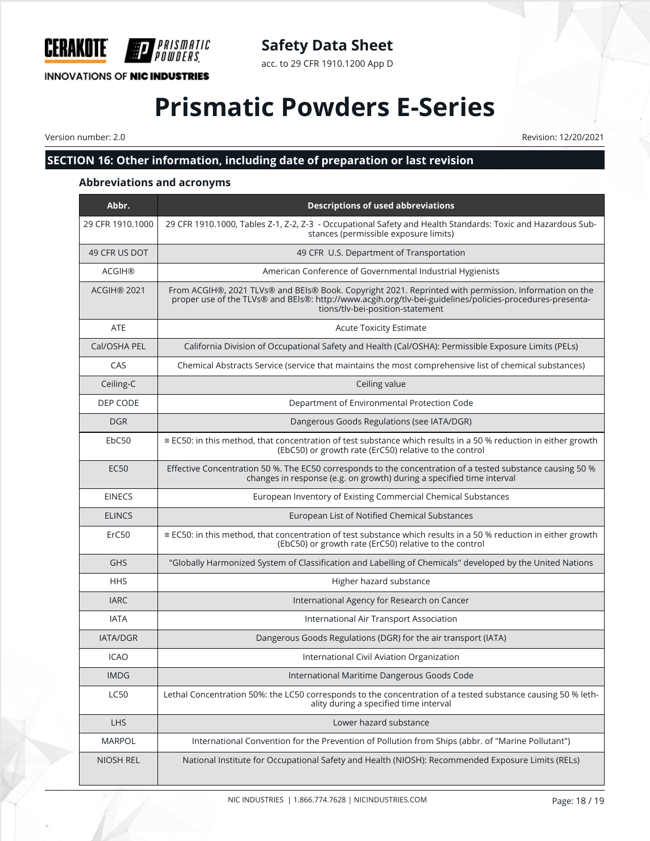

### **Safety Data Sheet**

acc. to 29 CFR 1910.1200 App D

## **Prismatic Powders E-Series**

Version number: 2.0 Revision: 12/20/2021

### **SECTION 16: Other information, including date of preparation or last revision**

#### **Abbreviations and acronyms**

| Abbr.            | <b>Descriptions of used abbreviations</b>                                                                                                                                                                                                             |
|------------------|-------------------------------------------------------------------------------------------------------------------------------------------------------------------------------------------------------------------------------------------------------|
| 29 CFR 1910.1000 | 29 CFR 1910.1000, Tables Z-1, Z-2, Z-3 - Occupational Safety and Health Standards: Toxic and Hazardous Sub-<br>stances (permissible exposure limits)                                                                                                  |
| 49 CFR US DOT    | 49 CFR U.S. Department of Transportation                                                                                                                                                                                                              |
| <b>ACGIH®</b>    | American Conference of Governmental Industrial Hygienists                                                                                                                                                                                             |
| ACGIH® 2021      | From ACGIH®, 2021 TLVs® and BEIs® Book. Copyright 2021. Reprinted with permission. Information on the<br>proper use of the TLVs® and BEIs®: http://www.acgih.org/tlv-bei-guidelines/policies-procedures-presenta-<br>tions/tlv-bei-position-statement |
| <b>ATE</b>       | <b>Acute Toxicity Estimate</b>                                                                                                                                                                                                                        |
| Cal/OSHA PEL     | California Division of Occupational Safety and Health (Cal/OSHA): Permissible Exposure Limits (PELs)                                                                                                                                                  |
| CAS              | Chemical Abstracts Service (service that maintains the most comprehensive list of chemical substances)                                                                                                                                                |
| Ceiling-C        | Ceiling value                                                                                                                                                                                                                                         |
| DEP CODE         | Department of Environmental Protection Code                                                                                                                                                                                                           |
| <b>DGR</b>       | Dangerous Goods Regulations (see IATA/DGR)                                                                                                                                                                                                            |
| EbC50            | $\equiv$ EC50: in this method, that concentration of test substance which results in a 50 % reduction in either growth<br>(EbC50) or growth rate (ErC50) relative to the control                                                                      |
| <b>EC50</b>      | Effective Concentration 50 %. The EC50 corresponds to the concentration of a tested substance causing 50 %<br>changes in response (e.g. on growth) during a specified time interval                                                                   |
| <b>EINECS</b>    | European Inventory of Existing Commercial Chemical Substances                                                                                                                                                                                         |
| <b>ELINCS</b>    | European List of Notified Chemical Substances                                                                                                                                                                                                         |
| ErC50            | ≡ EC50: in this method, that concentration of test substance which results in a 50 % reduction in either growth<br>(EbC50) or growth rate (ErC50) relative to the control                                                                             |
| <b>GHS</b>       | "Globally Harmonized System of Classification and Labelling of Chemicals" developed by the United Nations                                                                                                                                             |
| <b>HHS</b>       | Higher hazard substance                                                                                                                                                                                                                               |
| <b>IARC</b>      | International Agency for Research on Cancer                                                                                                                                                                                                           |
| <b>IATA</b>      | International Air Transport Association                                                                                                                                                                                                               |
| <b>IATA/DGR</b>  | Dangerous Goods Regulations (DGR) for the air transport (IATA)                                                                                                                                                                                        |
| <b>ICAO</b>      | International Civil Aviation Organization                                                                                                                                                                                                             |
| <b>IMDG</b>      | International Maritime Dangerous Goods Code                                                                                                                                                                                                           |
| <b>LC50</b>      | Lethal Concentration 50%: the LC50 corresponds to the concentration of a tested substance causing 50 % leth-<br>ality during a specified time interval                                                                                                |
| <b>LHS</b>       | Lower hazard substance                                                                                                                                                                                                                                |
| <b>MARPOL</b>    | International Convention for the Prevention of Pollution from Ships (abbr. of "Marine Pollutant")                                                                                                                                                     |
| NIOSH REL        | National Institute for Occupational Safety and Health (NIOSH): Recommended Exposure Limits (RELs)                                                                                                                                                     |